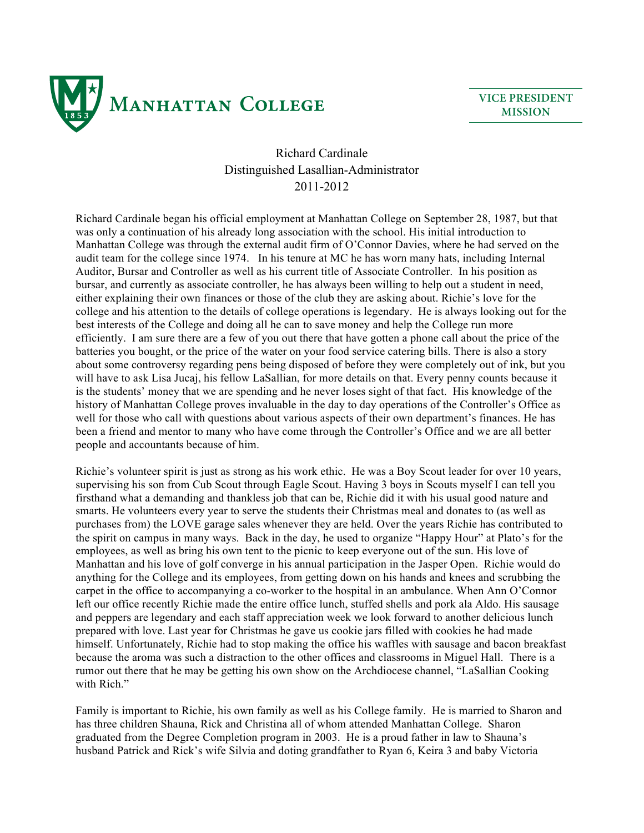

## **VICE PRESIDENT MISSION**

## Richard Cardinale Distinguished Lasallian-Administrator 2011-2012

Richard Cardinale began his official employment at Manhattan College on September 28, 1987, but that was only a continuation of his already long association with the school. His initial introduction to Manhattan College was through the external audit firm of O'Connor Davies, where he had served on the audit team for the college since 1974. In his tenure at MC he has worn many hats, including Internal Auditor, Bursar and Controller as well as his current title of Associate Controller. In his position as bursar, and currently as associate controller, he has always been willing to help out a student in need, either explaining their own finances or those of the club they are asking about. Richie's love for the college and his attention to the details of college operations is legendary. He is always looking out for the best interests of the College and doing all he can to save money and help the College run more efficiently. I am sure there are a few of you out there that have gotten a phone call about the price of the batteries you bought, or the price of the water on your food service catering bills. There is also a story about some controversy regarding pens being disposed of before they were completely out of ink, but you will have to ask Lisa Jucai, his fellow LaSallian, for more details on that. Every penny counts because it is the students' money that we are spending and he never loses sight of that fact. His knowledge of the history of Manhattan College proves invaluable in the day to day operations of the Controller's Office as well for those who call with questions about various aspects of their own department's finances. He has been a friend and mentor to many who have come through the Controller's Office and we are all better people and accountants because of him.

Richie's volunteer spirit is just as strong as his work ethic. He was a Boy Scout leader for over 10 years, supervising his son from Cub Scout through Eagle Scout. Having 3 boys in Scouts myself I can tell you firsthand what a demanding and thankless job that can be, Richie did it with his usual good nature and smarts. He volunteers every year to serve the students their Christmas meal and donates to (as well as purchases from) the LOVE garage sales whenever they are held. Over the years Richie has contributed to the spirit on campus in many ways. Back in the day, he used to organize "Happy Hour" at Plato's for the employees, as well as bring his own tent to the picnic to keep everyone out of the sun. His love of Manhattan and his love of golf converge in his annual participation in the Jasper Open. Richie would do anything for the College and its employees, from getting down on his hands and knees and scrubbing the carpet in the office to accompanying a co-worker to the hospital in an ambulance. When Ann O'Connor left our office recently Richie made the entire office lunch, stuffed shells and pork ala Aldo. His sausage and peppers are legendary and each staff appreciation week we look forward to another delicious lunch prepared with love. Last year for Christmas he gave us cookie jars filled with cookies he had made himself. Unfortunately, Richie had to stop making the office his waffles with sausage and bacon breakfast because the aroma was such a distraction to the other offices and classrooms in Miguel Hall. There is a rumor out there that he may be getting his own show on the Archdiocese channel, "LaSallian Cooking with Rich."

Family is important to Richie, his own family as well as his College family. He is married to Sharon and has three children Shauna, Rick and Christina all of whom attended Manhattan College. Sharon graduated from the Degree Completion program in 2003. He is a proud father in law to Shauna's husband Patrick and Rick's wife Silvia and doting grandfather to Ryan 6, Keira 3 and baby Victoria